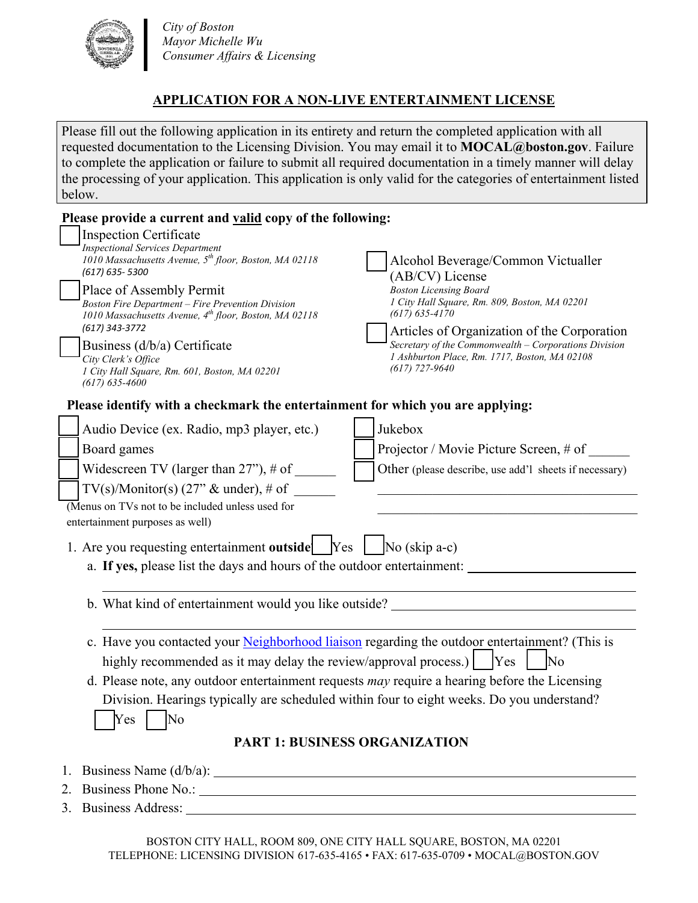

 *City of Boston Mayor Michelle Wu Consumer Affairs & Licensing*

# **APPLICATION FOR A NON-LIVE ENTERTAINMENT LICENSE**

Please fill out the following application in its entirety and return the completed application with all requested documentation to the Licensing Division. You may email it to **MOCAL@boston.gov**. Failure to complete the application or failure to submit all required documentation in a timely manner will delay the processing of your application. This application is only valid for the categories of entertainment listed below.

| Please provide a current and valid copy of the following:                                                                                                                                                                                                                                                                                                                                                                                                          |                                                                                                                                                                                                                                                                                                                                          |  |
|--------------------------------------------------------------------------------------------------------------------------------------------------------------------------------------------------------------------------------------------------------------------------------------------------------------------------------------------------------------------------------------------------------------------------------------------------------------------|------------------------------------------------------------------------------------------------------------------------------------------------------------------------------------------------------------------------------------------------------------------------------------------------------------------------------------------|--|
| <b>Inspection Certificate</b><br><b>Inspectional Services Department</b><br>1010 Massachusetts Avenue, 5 <sup>th</sup> floor, Boston, MA 02118<br>(617) 635-5300<br>Place of Assembly Permit<br><b>Boston Fire Department - Fire Prevention Division</b><br>1010 Massachusetts Avenue, 4th floor, Boston, MA 02118<br>(617) 343-3772<br>Business $(d/b/a)$ Certificate<br>City Clerk's Office<br>1 City Hall Square, Rm. 601, Boston, MA 02201<br>$(617)$ 635-4600 | Alcohol Beverage/Common Victualler<br>(AB/CV) License<br><b>Boston Licensing Board</b><br>1 City Hall Square, Rm. 809, Boston, MA 02201<br>$(617)$ 635-4170<br>Articles of Organization of the Corporation<br>Secretary of the Commonwealth - Corporations Division<br>1 Ashburton Place, Rm. 1717, Boston, MA 02108<br>$(617)$ 727-9640 |  |
| Please identify with a checkmark the entertainment for which you are applying:                                                                                                                                                                                                                                                                                                                                                                                     |                                                                                                                                                                                                                                                                                                                                          |  |
| Audio Device (ex. Radio, mp3 player, etc.)                                                                                                                                                                                                                                                                                                                                                                                                                         | Jukebox                                                                                                                                                                                                                                                                                                                                  |  |
| Board games                                                                                                                                                                                                                                                                                                                                                                                                                                                        | Projector / Movie Picture Screen, # of                                                                                                                                                                                                                                                                                                   |  |
| Widescreen TV (larger than $27$ "), # of                                                                                                                                                                                                                                                                                                                                                                                                                           | Other (please describe, use add'l sheets if necessary)                                                                                                                                                                                                                                                                                   |  |
| TV(s)/Monitor(s) $(27"$ & under), # of                                                                                                                                                                                                                                                                                                                                                                                                                             |                                                                                                                                                                                                                                                                                                                                          |  |
| $\overline{\text{(Menus on TVs not to be included unless used for)}}$                                                                                                                                                                                                                                                                                                                                                                                              |                                                                                                                                                                                                                                                                                                                                          |  |
| entertainment purposes as well)                                                                                                                                                                                                                                                                                                                                                                                                                                    |                                                                                                                                                                                                                                                                                                                                          |  |
| 1. Are you requesting entertainment outside $\Box$ Yes $\Box$ No (skip a-c)                                                                                                                                                                                                                                                                                                                                                                                        |                                                                                                                                                                                                                                                                                                                                          |  |
| a. If yes, please list the days and hours of the outdoor entertainment:                                                                                                                                                                                                                                                                                                                                                                                            |                                                                                                                                                                                                                                                                                                                                          |  |
| b. What kind of entertainment would you like outside?                                                                                                                                                                                                                                                                                                                                                                                                              |                                                                                                                                                                                                                                                                                                                                          |  |
|                                                                                                                                                                                                                                                                                                                                                                                                                                                                    |                                                                                                                                                                                                                                                                                                                                          |  |
| c. Have you contacted your Neighborhood liaison regarding the outdoor entertainment? (This is                                                                                                                                                                                                                                                                                                                                                                      |                                                                                                                                                                                                                                                                                                                                          |  |
| highly recommended as it may delay the review/approval process.) $ $ [Yes]                                                                                                                                                                                                                                                                                                                                                                                         | $\overline{\rm No}$                                                                                                                                                                                                                                                                                                                      |  |
| d. Please note, any outdoor entertainment requests may require a hearing before the Licensing                                                                                                                                                                                                                                                                                                                                                                      |                                                                                                                                                                                                                                                                                                                                          |  |
| $\bigcap$ Yes $\bigcap$ No                                                                                                                                                                                                                                                                                                                                                                                                                                         | Division. Hearings typically are scheduled within four to eight weeks. Do you understand?                                                                                                                                                                                                                                                |  |
|                                                                                                                                                                                                                                                                                                                                                                                                                                                                    | <b>PART 1: BUSINESS ORGANIZATION</b>                                                                                                                                                                                                                                                                                                     |  |
|                                                                                                                                                                                                                                                                                                                                                                                                                                                                    |                                                                                                                                                                                                                                                                                                                                          |  |
|                                                                                                                                                                                                                                                                                                                                                                                                                                                                    |                                                                                                                                                                                                                                                                                                                                          |  |
|                                                                                                                                                                                                                                                                                                                                                                                                                                                                    |                                                                                                                                                                                                                                                                                                                                          |  |